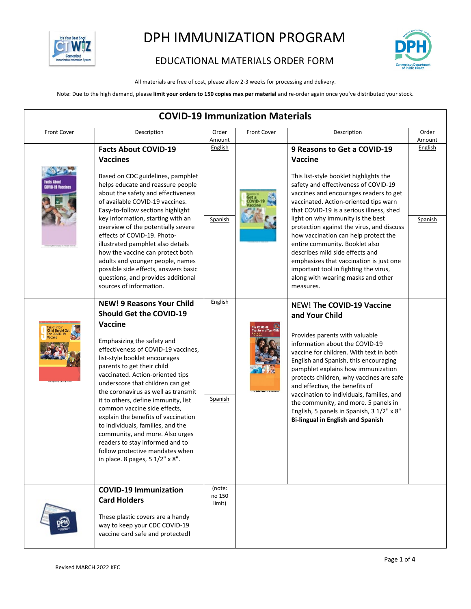



#### EDUCATIONAL MATERIALS ORDER FORM

All materials are free of cost, please allow 2-3 weeks for processing and delivery.

Note: Due to the high demand, please **limit your orders to 150 copies max per material** and re-order again once you've distributed your stock.

| <b>COVID-19 Immunization Materials</b> |                                                                                                                                                                                                                                                                                                                                                                                                                                                                                                                                                                                                                                        |                            |                    |                                                                                                                                                                                                                                                                                                                                                                                                                                                                                                                                                                                               |                 |  |
|----------------------------------------|----------------------------------------------------------------------------------------------------------------------------------------------------------------------------------------------------------------------------------------------------------------------------------------------------------------------------------------------------------------------------------------------------------------------------------------------------------------------------------------------------------------------------------------------------------------------------------------------------------------------------------------|----------------------------|--------------------|-----------------------------------------------------------------------------------------------------------------------------------------------------------------------------------------------------------------------------------------------------------------------------------------------------------------------------------------------------------------------------------------------------------------------------------------------------------------------------------------------------------------------------------------------------------------------------------------------|-----------------|--|
| Front Cover                            | Description                                                                                                                                                                                                                                                                                                                                                                                                                                                                                                                                                                                                                            | Order<br>Amount            | <b>Front Cover</b> | Description                                                                                                                                                                                                                                                                                                                                                                                                                                                                                                                                                                                   | Order<br>Amount |  |
| 110-19 Taccine                         | <b>Facts About COVID-19</b><br><b>Vaccines</b><br>Based on CDC guidelines, pamphlet<br>helps educate and reassure people<br>about the safety and effectiveness<br>of available COVID-19 vaccines.<br>Easy-to-follow sections highlight                                                                                                                                                                                                                                                                                                                                                                                                 | <b>English</b><br>Spanish  |                    | 9 Reasons to Get a COVID-19<br>Vaccine<br>This list-style booklet highlights the<br>safety and effectiveness of COVID-19<br>vaccines and encourages readers to get<br>vaccinated. Action-oriented tips warn<br>that COVID-19 is a serious illness, shed<br>light on why immunity is the best<br>protection against the virus, and discuss<br>how vaccination can help protect the<br>entire community. Booklet also<br>describes mild side effects and<br>emphasizes that vaccination is just one<br>important tool in fighting the virus,<br>along with wearing masks and other<br>measures. | <b>English</b>  |  |
|                                        | key information, starting with an<br>overview of the potentially severe<br>effects of COVID-19. Photo-<br>illustrated pamphlet also details<br>how the vaccine can protect both<br>adults and younger people, names<br>possible side effects, answers basic<br>questions, and provides additional<br>sources of information.                                                                                                                                                                                                                                                                                                           |                            |                    |                                                                                                                                                                                                                                                                                                                                                                                                                                                                                                                                                                                               | <b>Spanish</b>  |  |
| <b>Child Should Get</b>                | <b>NEW! 9 Reasons Your Child</b><br><b>Should Get the COVID-19</b><br><b>Vaccine</b><br>Emphasizing the safety and<br>effectiveness of COVID-19 vaccines,<br>list-style booklet encourages<br>parents to get their child<br>vaccinated. Action-oriented tips<br>underscore that children can get<br>the coronavirus as well as transmit<br>it to others, define immunity, list<br>common vaccine side effects,<br>explain the benefits of vaccination<br>to individuals, families, and the<br>community, and more. Also urges<br>readers to stay informed and to<br>follow protective mandates when<br>in place. 8 pages, 5 1/2" x 8". | English<br><b>Spanish</b>  | he COVID-19        | <b>NEW! The COVID-19 Vaccine</b><br>and Your Child<br>Provides parents with valuable<br>information about the COVID-19<br>vaccine for children. With text in both<br>English and Spanish, this encouraging<br>pamphlet explains how immunization<br>protects children, why vaccines are safe<br>and effective, the benefits of<br>vaccination to individuals, families, and<br>the community, and more. 5 panels in<br>English, 5 panels in Spanish, 3 1/2" x 8"<br><b>Bi-lingual in English and Spanish</b>                                                                                  |                 |  |
|                                        | <b>COVID-19 Immunization</b><br><b>Card Holders</b><br>These plastic covers are a handy<br>way to keep your CDC COVID-19<br>vaccine card safe and protected!                                                                                                                                                                                                                                                                                                                                                                                                                                                                           | (note:<br>no 150<br>limit) |                    |                                                                                                                                                                                                                                                                                                                                                                                                                                                                                                                                                                                               |                 |  |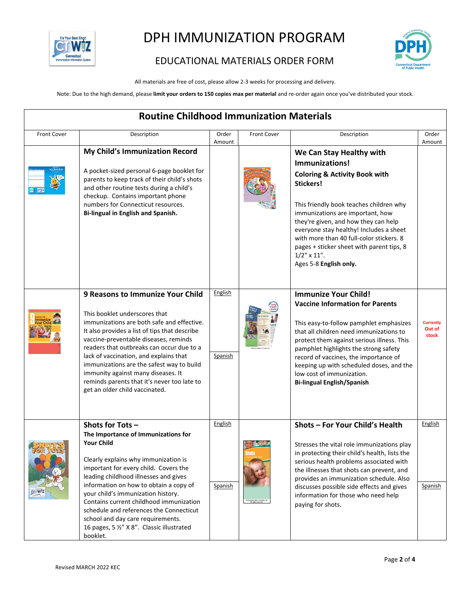



#### EDUCATIONAL MATERIALS ORDER FORM

All materials are free of cost, please allow 2-3 weeks for processing and delivery.

Note: Due to the high demand, please **limit your orders to 150 copies max per material** and re-order again once you've distributed your stock.

| <b>Routine Childhood Immunization Materials</b> |                                                                                                                                                                                                                                                                                                                                                                                                                                                                            |                           |                    |                                                                                                                                                                                                                                                                                                                                                                                                               |                                     |  |
|-------------------------------------------------|----------------------------------------------------------------------------------------------------------------------------------------------------------------------------------------------------------------------------------------------------------------------------------------------------------------------------------------------------------------------------------------------------------------------------------------------------------------------------|---------------------------|--------------------|---------------------------------------------------------------------------------------------------------------------------------------------------------------------------------------------------------------------------------------------------------------------------------------------------------------------------------------------------------------------------------------------------------------|-------------------------------------|--|
| <b>Front Cover</b>                              | Description                                                                                                                                                                                                                                                                                                                                                                                                                                                                | Order<br>Amount           | <b>Front Cover</b> | Description                                                                                                                                                                                                                                                                                                                                                                                                   | Order<br>Amount                     |  |
|                                                 | My Child's Immunization Record<br>A pocket-sized personal 6-page booklet for<br>parents to keep track of their child's shots<br>and other routine tests during a child's<br>checkup. Contains important phone<br>numbers for Connecticut resources.<br>Bi-lingual in English and Spanish.                                                                                                                                                                                  |                           |                    | We Can Stay Healthy with<br>Immunizations!<br><b>Coloring &amp; Activity Book with</b><br>Stickers!<br>This friendly book teaches children why<br>immunizations are important, how<br>they're given, and how they can help<br>everyone stay healthy! Includes a sheet<br>with more than 40 full-color stickers. 8<br>pages + sticker sheet with parent tips, 8<br>$1/2$ " x $11$ ".<br>Ages 5-8 English only. |                                     |  |
|                                                 | 9 Reasons to Immunize Your Child<br>This booklet underscores that<br>immunizations are both safe and effective.<br>It also provides a list of tips that describe<br>vaccine-preventable diseases, reminds<br>readers that outbreaks can occur due to a<br>lack of vaccination, and explains that<br>immunizations are the safest way to build<br>immunity against many diseases. It<br>reminds parents that it's never too late to<br>get an older child vaccinated.       | English<br><b>Spanish</b> |                    | <b>Immunize Your Child!</b><br><b>Vaccine Information for Parents</b><br>This easy-to-follow pamphlet emphasizes<br>that all children need immunizations to<br>protect them against serious illness. This<br>pamphlet highlights the strong safety<br>record of vaccines, the importance of<br>keeping up with scheduled doses, and the<br>low cost of immunization.<br><b>Bi-lingual English/Spanish</b>     | <b>Currently</b><br>Out of<br>stock |  |
| CIW                                             | Shots for Tots-<br>The Importance of Immunizations for<br><b>Your Child</b><br>Clearly explains why immunization is<br>important for every child. Covers the<br>leading childhood illnesses and gives<br>information on how to obtain a copy of<br>your child's immunization history.<br>Contains current childhood immunization<br>schedule and references the Connecticut<br>school and day care requirements.<br>16 pages, 5 1/2" X 8". Classic illustrated<br>booklet. | English<br>Spanish        |                    | Shots - For Your Child's Health<br>Stresses the vital role immunizations play<br>in protecting their child's health, lists the<br>serious health problems associated with<br>the illnesses that shots can prevent, and<br>provides an immunization schedule. Also<br>discusses possible side effects and gives<br>information for those who need help<br>paying for shots.                                    | English<br><b>Spanish</b>           |  |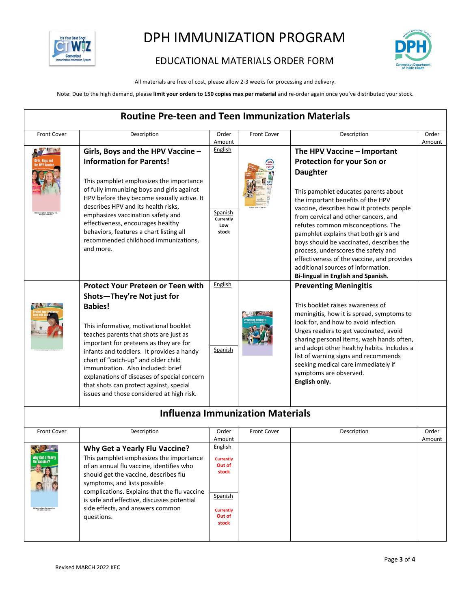

### EDUCATIONAL MATERIALS ORDER FORM

All materials are free of cost, please allow 2-3 weeks for processing and delivery.

Note: Due to the high demand, please **limit your orders to 150 copies max per material** and re-order again once you've distributed your stock.

| <b>Routine Pre-teen and Teen Immunization Materials</b> |                                                                                                                                                                                                                                                                                                                                                                                                                                                                                         |                                                 |                                  |                                                                                                                                                                                                                                                                                                                                                                                                                                                                                                      |                 |  |
|---------------------------------------------------------|-----------------------------------------------------------------------------------------------------------------------------------------------------------------------------------------------------------------------------------------------------------------------------------------------------------------------------------------------------------------------------------------------------------------------------------------------------------------------------------------|-------------------------------------------------|----------------------------------|------------------------------------------------------------------------------------------------------------------------------------------------------------------------------------------------------------------------------------------------------------------------------------------------------------------------------------------------------------------------------------------------------------------------------------------------------------------------------------------------------|-----------------|--|
| Front Cover                                             | Description                                                                                                                                                                                                                                                                                                                                                                                                                                                                             | Order<br>Amount                                 | Front Cover                      | Description                                                                                                                                                                                                                                                                                                                                                                                                                                                                                          | Order<br>Amount |  |
|                                                         | Girls, Boys and the HPV Vaccine -<br><b>Information for Parents!</b><br>This pamphlet emphasizes the importance<br>of fully immunizing boys and girls against<br>HPV before they become sexually active. It<br>describes HPV and its health risks,<br>emphasizes vaccination safety and<br>effectiveness, encourages healthy<br>behaviors, features a chart listing all<br>recommended childhood immunizations,<br>and more.                                                            | English<br>Spanish<br>Currently<br>Low<br>stock |                                  | The HPV Vaccine - Important<br>Protection for your Son or<br><b>Daughter</b><br>This pamphlet educates parents about<br>the important benefits of the HPV<br>vaccine, describes how it protects people<br>from cervical and other cancers, and<br>refutes common misconceptions. The<br>pamphlet explains that both girls and<br>boys should be vaccinated, describes the<br>process, underscores the safety and<br>effectiveness of the vaccine, and provides<br>additional sources of information. |                 |  |
|                                                         | <b>Protect Your Preteen or Teen with</b><br>Shots-They're Not just for<br><b>Babies!</b><br>This informative, motivational booklet<br>teaches parents that shots are just as<br>important for preteens as they are for<br>infants and toddlers. It provides a handy<br>chart of "catch-up" and older child<br>immunization. Also included: brief<br>explanations of diseases of special concern<br>that shots can protect against, special<br>issues and those considered at high risk. | English<br>Spanish                              | Influenza Immunization Materials | Bi-lingual in English and Spanish.<br><b>Preventing Meningitis</b><br>This booklet raises awareness of<br>meningitis, how it is spread, symptoms to<br>look for, and how to avoid infection.<br>Urges readers to get vaccinated, avoid<br>sharing personal items, wash hands often,<br>and adopt other healthy habits. Includes a<br>list of warning signs and recommends<br>seeking medical care immediately if<br>symptoms are observed.<br>English only.                                          |                 |  |

#### **Influenza Immunization Materials**

| <b>Front Cover</b>                                            | Description                                                                                                                                                                                                                                                                                                                                          | Order                                                                                            | <b>Front Cover</b> | Description | Order  |
|---------------------------------------------------------------|------------------------------------------------------------------------------------------------------------------------------------------------------------------------------------------------------------------------------------------------------------------------------------------------------------------------------------------------------|--------------------------------------------------------------------------------------------------|--------------------|-------------|--------|
|                                                               |                                                                                                                                                                                                                                                                                                                                                      | Amount                                                                                           |                    |             | Amount |
| Why Get a Yearly<br>Flu Vaccine?<br>@Channing Bete Company, I | <b>Why Get a Yearly Flu Vaccine?</b><br>This pamphlet emphasizes the importance<br>of an annual flu vaccine, identifies who<br>should get the vaccine, describes flu<br>symptoms, and lists possible<br>complications. Explains that the flu vaccine<br>is safe and effective, discusses potential<br>side effects, and answers common<br>questions. | English<br><b>Currently</b><br>Out of<br>stock<br>Spanish<br><b>Currently</b><br>Out of<br>stock |                    |             |        |